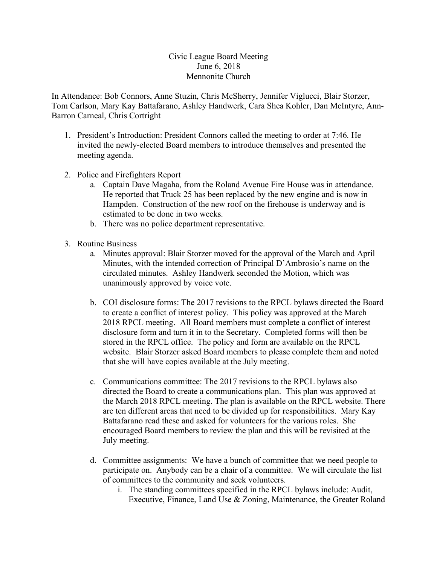## Civic League Board Meeting June 6, 2018 Mennonite Church

In Attendance: Bob Connors, Anne Stuzin, Chris McSherry, Jennifer Viglucci, Blair Storzer, Tom Carlson, Mary Kay Battafarano, Ashley Handwerk, Cara Shea Kohler, Dan McIntyre, Ann-Barron Carneal, Chris Cortright

- 1. President's Introduction: President Connors called the meeting to order at 7:46. He invited the newly-elected Board members to introduce themselves and presented the meeting agenda.
- 2. Police and Firefighters Report
	- a. Captain Dave Magaha, from the Roland Avenue Fire House was in attendance. He reported that Truck 25 has been replaced by the new engine and is now in Hampden. Construction of the new roof on the firehouse is underway and is estimated to be done in two weeks.
	- b. There was no police department representative.
- 3. Routine Business
	- a. Minutes approval: Blair Storzer moved for the approval of the March and April Minutes, with the intended correction of Principal D'Ambrosio's name on the circulated minutes. Ashley Handwerk seconded the Motion, which was unanimously approved by voice vote.
	- b. COI disclosure forms: The 2017 revisions to the RPCL bylaws directed the Board to create a conflict of interest policy. This policy was approved at the March 2018 RPCL meeting. All Board members must complete a conflict of interest disclosure form and turn it in to the Secretary. Completed forms will then be stored in the RPCL office. The policy and form are available on the RPCL website. Blair Storzer asked Board members to please complete them and noted that she will have copies available at the July meeting.
	- c. Communications committee: The 2017 revisions to the RPCL bylaws also directed the Board to create a communications plan. This plan was approved at the March 2018 RPCL meeting. The plan is available on the RPCL website. There are ten different areas that need to be divided up for responsibilities. Mary Kay Battafarano read these and asked for volunteers for the various roles. She encouraged Board members to review the plan and this will be revisited at the July meeting.
	- d. Committee assignments: We have a bunch of committee that we need people to participate on. Anybody can be a chair of a committee. We will circulate the list of committees to the community and seek volunteers.
		- i. The standing committees specified in the RPCL bylaws include: Audit, Executive, Finance, Land Use & Zoning, Maintenance, the Greater Roland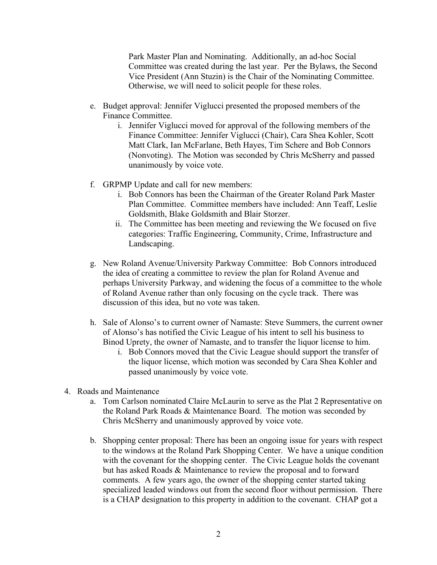Park Master Plan and Nominating. Additionally, an ad-hoc Social Committee was created during the last year. Per the Bylaws, the Second Vice President (Ann Stuzin) is the Chair of the Nominating Committee. Otherwise, we will need to solicit people for these roles.

- e. Budget approval: Jennifer Viglucci presented the proposed members of the Finance Committee.
	- i. Jennifer Viglucci moved for approval of the following members of the Finance Committee: Jennifer Viglucci (Chair), Cara Shea Kohler, Scott Matt Clark, Ian McFarlane, Beth Hayes, Tim Schere and Bob Connors (Nonvoting). The Motion was seconded by Chris McSherry and passed unanimously by voice vote.
- f. GRPMP Update and call for new members:
	- i. Bob Connors has been the Chairman of the Greater Roland Park Master Plan Committee. Committee members have included: Ann Teaff, Leslie Goldsmith, Blake Goldsmith and Blair Storzer.
	- ii. The Committee has been meeting and reviewing the We focused on five categories: Traffic Engineering, Community, Crime, Infrastructure and Landscaping.
- g. New Roland Avenue/University Parkway Committee: Bob Connors introduced the idea of creating a committee to review the plan for Roland Avenue and perhaps University Parkway, and widening the focus of a committee to the whole of Roland Avenue rather than only focusing on the cycle track. There was discussion of this idea, but no vote was taken.
- h. Sale of Alonso's to current owner of Namaste: Steve Summers, the current owner of Alonso's has notified the Civic League of his intent to sell his business to Binod Uprety, the owner of Namaste, and to transfer the liquor license to him.
	- i. Bob Connors moved that the Civic League should support the transfer of the liquor license, which motion was seconded by Cara Shea Kohler and passed unanimously by voice vote.
- 4. Roads and Maintenance
	- a. Tom Carlson nominated Claire McLaurin to serve as the Plat 2 Representative on the Roland Park Roads & Maintenance Board. The motion was seconded by Chris McSherry and unanimously approved by voice vote.
	- b. Shopping center proposal: There has been an ongoing issue for years with respect to the windows at the Roland Park Shopping Center. We have a unique condition with the covenant for the shopping center. The Civic League holds the covenant but has asked Roads & Maintenance to review the proposal and to forward comments. A few years ago, the owner of the shopping center started taking specialized leaded windows out from the second floor without permission. There is a CHAP designation to this property in addition to the covenant. CHAP got a